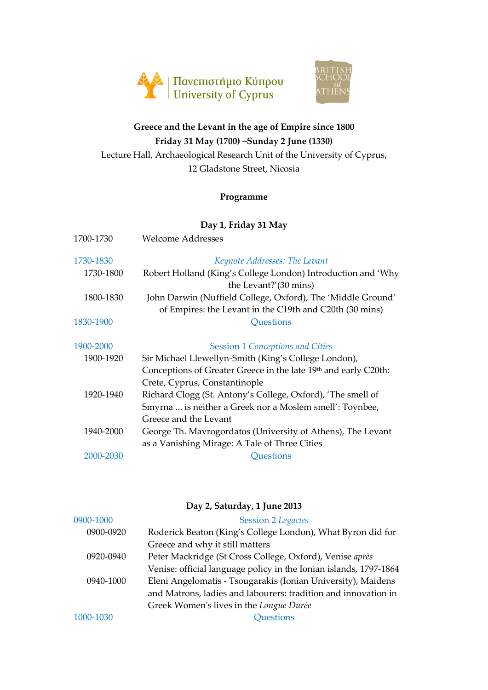



# **Greece and the Levant in the age of Empire since 1800 Friday 31 May (1700) –Sunday 2 June (1330)**

Lecture Hall, Archaeological Research Unit of the University of Cyprus, 12 Gladstone Street, Nicosia

## **Programme**

# **Day 1, Friday 31 May**

| 1700-1730 | Welcome Addresses                                                                                                                                               |
|-----------|-----------------------------------------------------------------------------------------------------------------------------------------------------------------|
| 1730-1830 | Keynote Addresses: The Levant                                                                                                                                   |
| 1730-1800 | Robert Holland (King's College London) Introduction and 'Why<br>the Levant?'(30 mins)                                                                           |
| 1800-1830 | John Darwin (Nuffield College, Oxford), The 'Middle Ground'<br>of Empires: the Levant in the C19th and C20th (30 mins)                                          |
| 1830-1900 | Questions                                                                                                                                                       |
| 1900-2000 | <b>Session 1 Conceptions and Cities</b>                                                                                                                         |
| 1900-1920 | Sir Michael Llewellyn-Smith (King's College London),                                                                                                            |
| 1920-1940 | Conceptions of Greater Greece in the late 19th and early C20th:<br>Crete, Cyprus, Constantinople<br>Richard Clogg (St. Antony's College, Oxford), 'The smell of |
|           | Smyrna  is neither a Greek nor a Moslem smell': Toynbee,<br>Greece and the Levant                                                                               |
| 1940-2000 | George Th. Mavrogordatos (University of Athens), The Levant<br>as a Vanishing Mirage: A Tale of Three Cities                                                    |
| 2000-2030 | Questions                                                                                                                                                       |

|           | Day 2, Saturday, 1 June 2013                                      |
|-----------|-------------------------------------------------------------------|
| 0900-1000 | <b>Session 2 Legacies</b>                                         |
| 0900-0920 | Roderick Beaton (King's College London), What Byron did for       |
|           | Greece and why it still matters                                   |
| 0920-0940 | Peter Mackridge (St Cross College, Oxford), Venise après          |
|           | Venise: official language policy in the Ionian islands, 1797-1864 |
| 0940-1000 | Eleni Angelomatis - Tsougarakis (Ionian University), Maidens      |
|           | and Matrons, ladies and labourers: tradition and innovation in    |
|           | Greek Women's lives in the Longue Durée                           |
| 1000-1030 | <b>Ouestions</b>                                                  |
|           |                                                                   |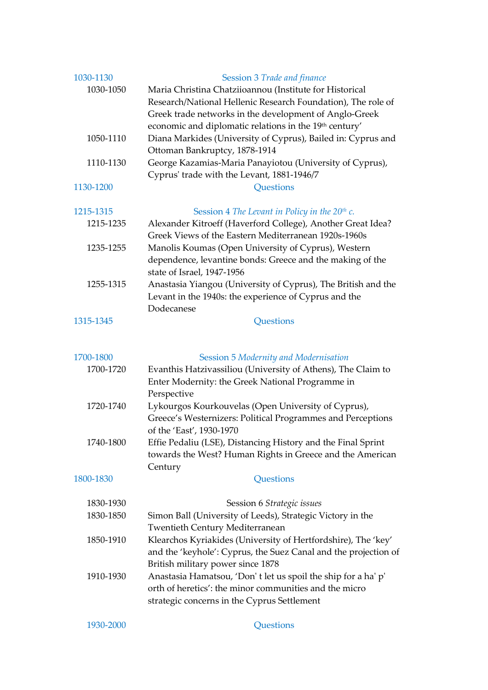| 1030-1130<br>1030-1050 | Session 3 Trade and finance<br>Maria Christina Chatziioannou (Institute for Historical<br>Research/National Hellenic Research Foundation), The role of<br>Greek trade networks in the development of Anglo-Greek<br>economic and diplomatic relations in the 19th century' |
|------------------------|----------------------------------------------------------------------------------------------------------------------------------------------------------------------------------------------------------------------------------------------------------------------------|
| 1050-1110              | Diana Markides (University of Cyprus), Bailed in: Cyprus and<br>Ottoman Bankruptcy, 1878-1914                                                                                                                                                                              |
| 1110-1130              | George Kazamias-Maria Panayiotou (University of Cyprus),<br>Cyprus' trade with the Levant, 1881-1946/7                                                                                                                                                                     |
| 1130-1200              | <b>Questions</b>                                                                                                                                                                                                                                                           |
| 1215-1315              | Session 4 The Levant in Policy in the $20th$ c.                                                                                                                                                                                                                            |
| 1215-1235              | Alexander Kitroeff (Haverford College), Another Great Idea?<br>Greek Views of the Eastern Mediterranean 1920s-1960s                                                                                                                                                        |
| 1235-1255              | Manolis Koumas (Open University of Cyprus), Western<br>dependence, levantine bonds: Greece and the making of the<br>state of Israel, 1947-1956                                                                                                                             |
| 1255-1315              | Anastasia Yiangou (University of Cyprus), The British and the<br>Levant in the 1940s: the experience of Cyprus and the<br>Dodecanese                                                                                                                                       |
| 1315-1345              | Questions                                                                                                                                                                                                                                                                  |
|                        |                                                                                                                                                                                                                                                                            |
| 1700-1800              | Session 5 Modernity and Modernisation                                                                                                                                                                                                                                      |
| 1700-1720              | Evanthis Hatzivassiliou (University of Athens), The Claim to<br>Enter Modernity: the Greek National Programme in<br>Perspective                                                                                                                                            |
| 1720-1740              | Lykourgos Kourkouvelas (Open University of Cyprus),<br>Greece's Westernizers: Political Programmes and Perceptions<br>of the 'East', 1930-1970                                                                                                                             |
| 1740-1800              | Effie Pedaliu (LSE), Distancing History and the Final Sprint<br>towards the West? Human Rights in Greece and the American<br>Century                                                                                                                                       |
| 1800-1830              | Questions                                                                                                                                                                                                                                                                  |
| 1830-1930              | Session 6 Strategic issues                                                                                                                                                                                                                                                 |
| 1830-1850              | Simon Ball (University of Leeds), Strategic Victory in the                                                                                                                                                                                                                 |
|                        | <b>Twentieth Century Mediterranean</b>                                                                                                                                                                                                                                     |
| 1850-1910              | Klearchos Kyriakides (University of Hertfordshire), The 'key'<br>and the 'keyhole': Cyprus, the Suez Canal and the projection of<br>British military power since 1878                                                                                                      |
| 1910-1930              | Anastasia Hamatsou, 'Don' t let us spoil the ship for a ha' p'<br>orth of heretics': the minor communities and the micro<br>strategic concerns in the Cyprus Settlement                                                                                                    |
| 1930-2000              | Questions                                                                                                                                                                                                                                                                  |